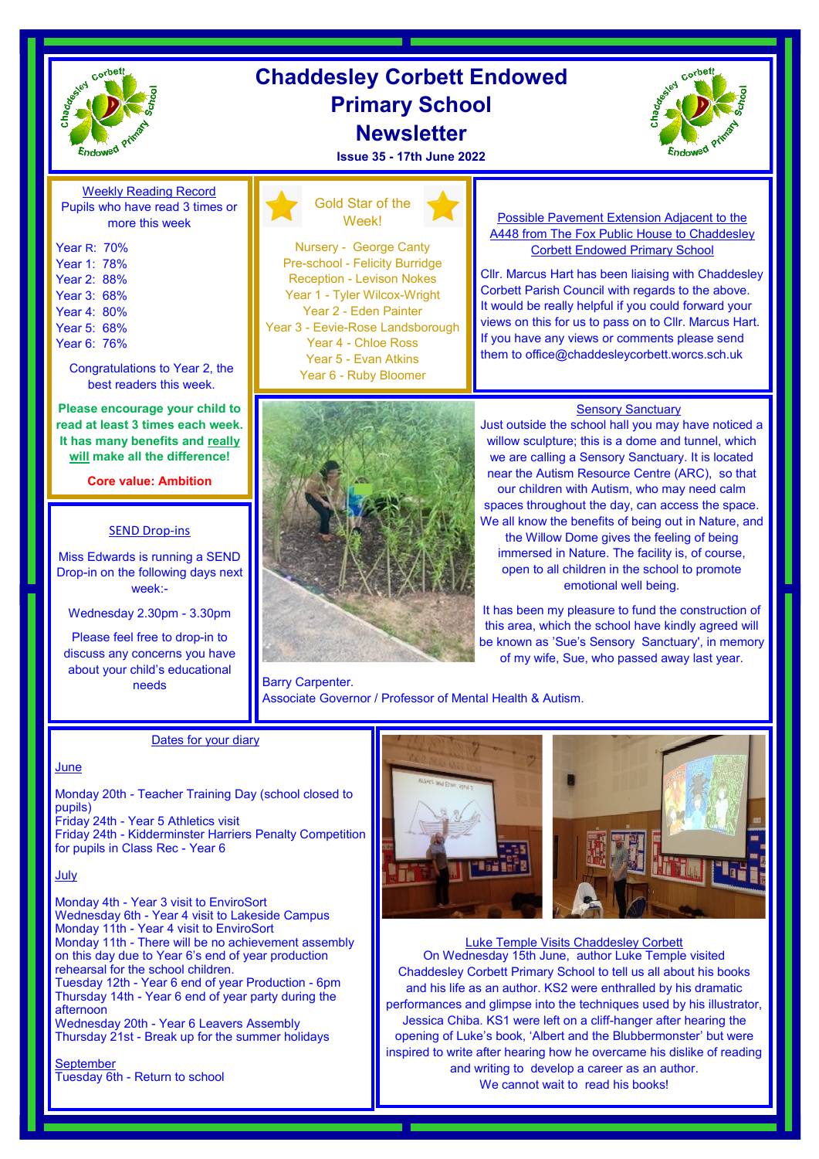

### **Chaddesley Corbett Endowed Primary School Newsletter**

**Issue 35 - 17th June 2022**



Weekly Reading Record Pupils who have read 3 times or more this week

Year R: 70% Year 1: 78% Year 2: 88% Year 3: 68% Year 4: 80% Year 5: 68% Year 6: 76%

> Congratulations to Year 2, the best readers this week.

**Please encourage your child to read at least 3 times each week. It has many benefits and really will make all the difference!**

**Core value: Ambition**

### SEND Drop-ins

Miss Edwards is running a SEND Drop-in on the following days next week:-

Wednesday 2.30pm - 3.30pm

Please feel free to drop-in to discuss any concerns you have about your child's educational needs

### Gold Star of the Week!

Nursery - George Canty Pre-school - Felicity Burridge Reception - Levison Nokes Year 1 - Tyler Wilcox-Wright Year 2 - Eden Painter Year 3 - Eevie-Rose Landsborough Year 4 - Chloe Ross Year 5 - Evan Atkins Year 6 - Ruby Bloomer



Possible Pavement Extension Adjacent to the A448 from The Fox Public House to Chaddesley Corbett Endowed Primary School

Cllr. Marcus Hart has been liaising with Chaddesley Corbett Parish Council with regards to the above. It would be really helpful if you could forward your views on this for us to pass on to Cllr. Marcus Hart. If you have any views or comments please send them to office@chaddesleycorbett.worcs.sch.uk

### **Sensory Sanctuary**

Just outside the school hall you may have noticed a willow sculpture; this is a dome and tunnel, which we are calling a Sensory Sanctuary. It is located near the Autism Resource Centre (ARC), so that our children with Autism, who may need calm spaces throughout the day, can access the space. We all know the benefits of being out in Nature, and the Willow Dome gives the feeling of being immersed in Nature. The facility is, of course, open to all children in the school to promote emotional well being.

It has been my pleasure to fund the construction of this area, which the school have kindly agreed will be known as 'Sue's Sensory Sanctuary', in memory of my wife, Sue, who passed away last year.

Barry Carpenter. Associate Governor / Professor of Mental Health & Autism.

### Dates for your diary

### June

Monday 20th - Teacher Training Day (school closed to pupils)

Friday 24th - Year 5 Athletics visit Friday 24th - Kidderminster Harriers Penalty Competition for pupils in Class Rec - Year 6

### July

Monday 4th - Year 3 visit to EnviroSort Wednesday 6th - Year 4 visit to Lakeside Campus Monday 11th - Year 4 visit to EnviroSort Monday 11th - There will be no achievement assembly on this day due to Year 6's end of year production rehearsal for the school children. Tuesday 12th - Year 6 end of year Production - 6pm Thursday 14th - Year 6 end of year party during the afternoon

Wednesday 20th - Year 6 Leavers Assembly Thursday 21st - Break up for the summer holidays

**September** Tuesday 6th - Return to school



Luke Temple Visits Chaddesley Corbett On Wednesday 15th June, author Luke Temple visited Chaddesley Corbett Primary School to tell us all about his books and his life as an author. KS2 were enthralled by his dramatic performances and glimpse into the techniques used by his illustrator, Jessica Chiba. KS1 were left on a cliff-hanger after hearing the opening of Luke's book, 'Albert and the Blubbermonster' but were inspired to write after hearing how he overcame his dislike of reading and writing to develop a career as an author. We cannot wait to read his books!